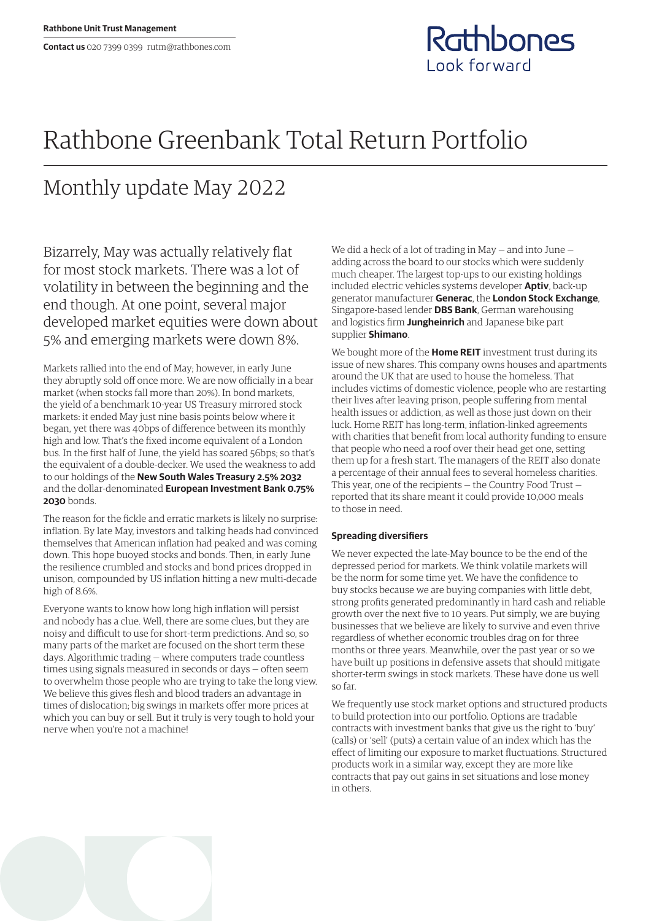

## Rathbone Greenbank Total Return Portfolio

## Monthly update May 2022

Bizarrely, May was actually relatively flat for most stock markets. There was a lot of volatility in between the beginning and the end though. At one point, several major developed market equities were down about 5% and emerging markets were down 8%.

Markets rallied into the end of May; however, in early June they abruptly sold off once more. We are now officially in a bear market (when stocks fall more than 20%). In bond markets, the yield of a benchmark 10-year US Treasury mirrored stock markets: it ended May just nine basis points below where it began, yet there was 40bps of difference between its monthly high and low. That's the fixed income equivalent of a London bus. In the first half of June, the yield has soared 56bps; so that's the equivalent of a double-decker. We used the weakness to add to our holdings of the **New South Wales Treasury 2.5% 2032** and the dollar-denominated **European Investment Bank 0.75% 2030** bonds.

The reason for the fickle and erratic markets is likely no surprise: inflation. By late May, investors and talking heads had convinced themselves that American inflation had peaked and was coming down. This hope buoyed stocks and bonds. Then, in early June the resilience crumbled and stocks and bond prices dropped in unison, compounded by US inflation hitting a new multi-decade high of 8.6%.

Everyone wants to know how long high inflation will persist and nobody has a clue. Well, there are some clues, but they are noisy and difficult to use for short-term predictions. And so, so many parts of the market are focused on the short term these days. Algorithmic trading — where computers trade countless times using signals measured in seconds or days — often seem to overwhelm those people who are trying to take the long view. We believe this gives flesh and blood traders an advantage in times of dislocation; big swings in markets offer more prices at which you can buy or sell. But it truly is very tough to hold your nerve when you're not a machine!

We did a heck of a lot of trading in May — and into June adding across the board to our stocks which were suddenly much cheaper. The largest top-ups to our existing holdings included electric vehicles systems developer **Aptiv**, back-up generator manufacturer **Generac**, the **London Stock Exchange**, Singapore-based lender **DBS Bank**, German warehousing and logistics firm **Jungheinrich** and Japanese bike part supplier **Shimano**.

We bought more of the **Home REIT** investment trust during its issue of new shares. This company owns houses and apartments around the UK that are used to house the homeless. That includes victims of domestic violence, people who are restarting their lives after leaving prison, people suffering from mental health issues or addiction, as well as those just down on their luck. Home REIT has long-term, inflation-linked agreements with charities that benefit from local authority funding to ensure that people who need a roof over their head get one, setting them up for a fresh start. The managers of the REIT also donate a percentage of their annual fees to several homeless charities. This year, one of the recipients — the Country Food Trust reported that its share meant it could provide 10,000 meals to those in need.

## **Spreading diversifiers**

We never expected the late-May bounce to be the end of the depressed period for markets. We think volatile markets will be the norm for some time yet. We have the confidence to buy stocks because we are buying companies with little debt, strong profits generated predominantly in hard cash and reliable growth over the next five to 10 years. Put simply, we are buying businesses that we believe are likely to survive and even thrive regardless of whether economic troubles drag on for three months or three years. Meanwhile, over the past year or so we have built up positions in defensive assets that should mitigate shorter-term swings in stock markets. These have done us well so far.

We frequently use stock market options and structured products to build protection into our portfolio. Options are tradable contracts with investment banks that give us the right to 'buy' (calls) or 'sell' (puts) a certain value of an index which has the effect of limiting our exposure to market fluctuations. Structured products work in a similar way, except they are more like contracts that pay out gains in set situations and lose money in others.